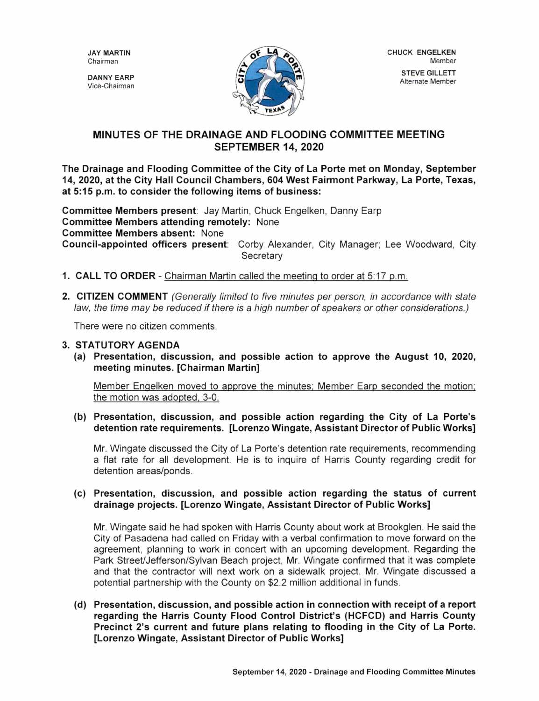**JAY MARTIN**<br>Chairman

Vice-Chairman DANNY EARP



## MINUTES OF THE DRAINAGE AND FLOODING COMMITTEE MEETING SEPTEMBER 14, 2020

The Drainage and Flooding Committee of the City of La Porte met on Monday, September 14, 2020, at the City Hall Council Chambers, 604 West Fairmont Parkway, La Porte, Texas, at 5:15 p.m. to consider the following items of business:

Committee Members present: Jay Martin, Chuck Engelken, Danny Earp Committee Members attending remotely: None Committee Members absent: None Council- appointed officers present: Corby Alexander, City Manager; Lee Woodward, City **Secretary** 

- 1. CALL TO ORDER Chairman Martin called the meeting to order at 5:17 p.m.
- 2. CITIZEN COMMENT (Generally limited to five minutes per person, in accordance with state law, the time may be reduced if there is <sup>a</sup> high number of speakers or other considerations.)

There were no citizen comments.

## 3. STATUTORY AGENDA

a) Presentation, discussion, and possible action to approve the August 10, 2020, meeting minutes. [Chairman Martin]

Member Engelken moved to approve the minutes; Member Earp seconded the motion; the motion was adopted, 3-0.

(b) Presentation, discussion, and possible action regarding the City of La Porte's detention rate requirements. [ Lorenzo Wingate, Assistant Director of Public Works]

Mr. Wingate discussed the City of La Porte' s detention rate requirements, recommending a flat rate for all development. He is to inquire of Harris County regarding credit for detention areas/ponds.

## c) Presentation, discussion, and possible action regarding the status of current drainage projects. [ Lorenzo Wingate, Assistant Director of Public Works]

Mr. Wingate said he had spoken with Harris County about work at Brookglen. He said the City of Pasadena had called on Friday with a verbal confirmation to move forward on the agreement, planning to work in concert with an upcoming development. Regarding the Park Street/Jefferson/Sylvan Beach project, Mr. Wingate confirmed that it was complete and that the contractor will next work on a sidewalk project. Mr. Wingate discussed a potential partnership with the County on \$2.2 million additional in funds.

d) Presentation, discussion, and possible action in connection with receipt of a report regarding the Harris County Flood Control District's (HCFCD) and Harris County Precinct 2's current and future plans relating to flooding in the City of La Porte. Lorenzo Wingate, Assistant Director of Public Works]